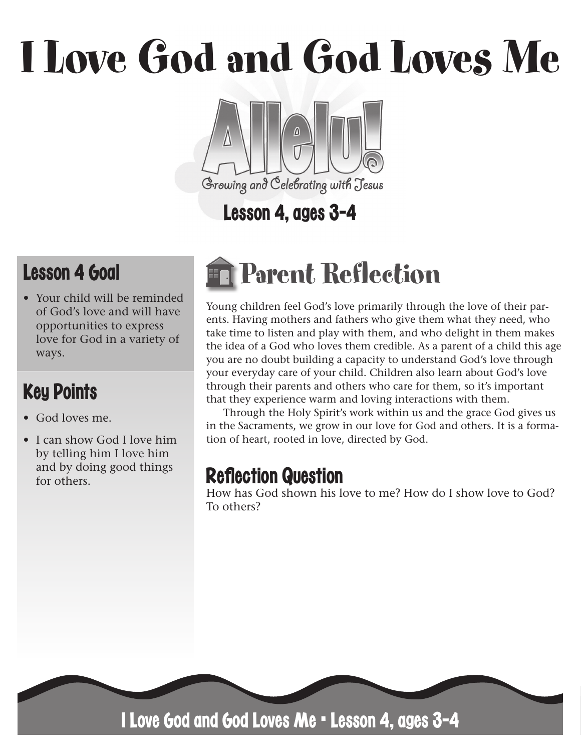# I Love God and God Loves Me



# Lesson 4, ages 3-4

# Lesson 4 Goal

• Your child will be reminded of God's love and will have opportunities to express love for God in a variety of ways.

# Key Points

- God loves me.
- I can show God I love him by telling him I love him and by doing good things for others.

# Parent Reflection

Young children feel God's love primarily through the love of their parents. Having mothers and fathers who give them what they need, who take time to listen and play with them, and who delight in them makes the idea of a God who loves them credible. As a parent of a child this age you are no doubt building a capacity to understand God's love through your everyday care of your child. Children also learn about God's love through their parents and others who care for them, so it's important that they experience warm and loving interactions with them.

Through the Holy Spirit's work within us and the grace God gives us in the Sacraments, we grow in our love for God and others. It is a formation of heart, rooted in love, directed by God.

## **Reflection Question**

How has God shown his love to me? How do I show love to God? To others?



I Love God and God Loves Me • Lesson 4, ages 3-4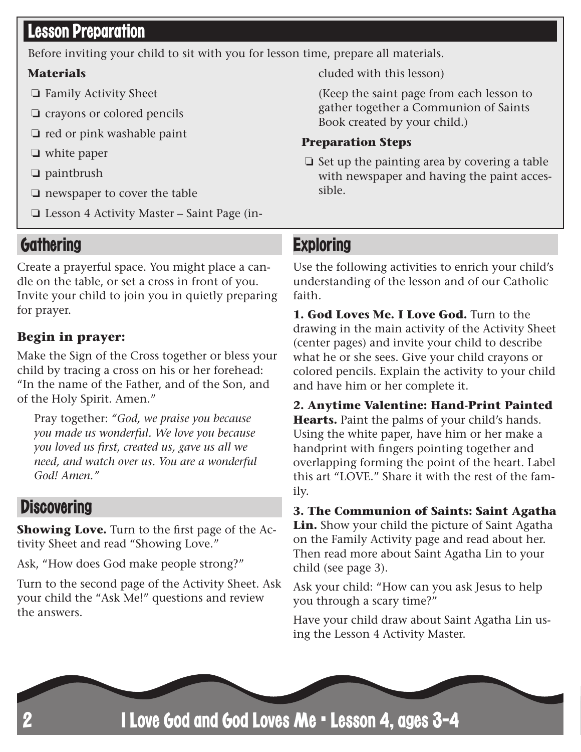#### **Lesson Preparation**

Before inviting your child to sit with you for lesson time, prepare all materials.

#### **Materials**

- ❏ Family Activity Sheet
- ❏ crayons or colored pencils
- ❏ red or pink washable paint
- ❏ white paper
- ❏ paintbrush
- ❏ newspaper to cover the table
- ❏ Lesson 4 Activity Master Saint Page (in-

#### **Gathering**

Create a prayerful space. You might place a candle on the table, or set a cross in front of you. Invite your child to join you in quietly preparing for prayer.

#### **Begin in prayer:**

Make the Sign of the Cross together or bless your child by tracing a cross on his or her forehead: "In the name of the Father, and of the Son, and of the Holy Spirit. Amen."

Pray together: *"God, we praise you because you made us wonderful. We love you because you loved us first, created us, gave us all we need, and watch over us. You are a wonderful God! Amen."*

#### **Discovering**

**Showing Love.** Turn to the first page of the Activity Sheet and read "Showing Love."

Ask, "How does God make people strong?"

Turn to the second page of the Activity Sheet. Ask your child the "Ask Me!" questions and review the answers.

cluded with this lesson)

(Keep the saint page from each lesson to gather together a Communion of Saints Book created by your child.)

#### **Preparation Steps**

❏ Set up the painting area by covering a table with newspaper and having the paint accessible.

#### **Exploring**

Use the following activities to enrich your child's understanding of the lesson and of our Catholic faith.

**1. God Loves Me. I Love God.** Turn to the drawing in the main activity of the Activity Sheet (center pages) and invite your child to describe what he or she sees. Give your child crayons or colored pencils. Explain the activity to your child and have him or her complete it.

**2. Anytime Valentine: Hand-Print Painted Hearts.** Paint the palms of your child's hands. Using the white paper, have him or her make a handprint with fingers pointing together and overlapping forming the point of the heart. Label this art "LOVE." Share it with the rest of the family.

**3. The Communion of Saints: Saint Agatha Lin.** Show your child the picture of Saint Agatha on the Family Activity page and read about her. Then read more about Saint Agatha Lin to your child (see page 3).

Ask your child: "How can you ask Jesus to help you through a scary time?"

Have your child draw about Saint Agatha Lin using the Lesson 4 Activity Master.

I Love God and God Loves Me • Lesson 4, ages 3-4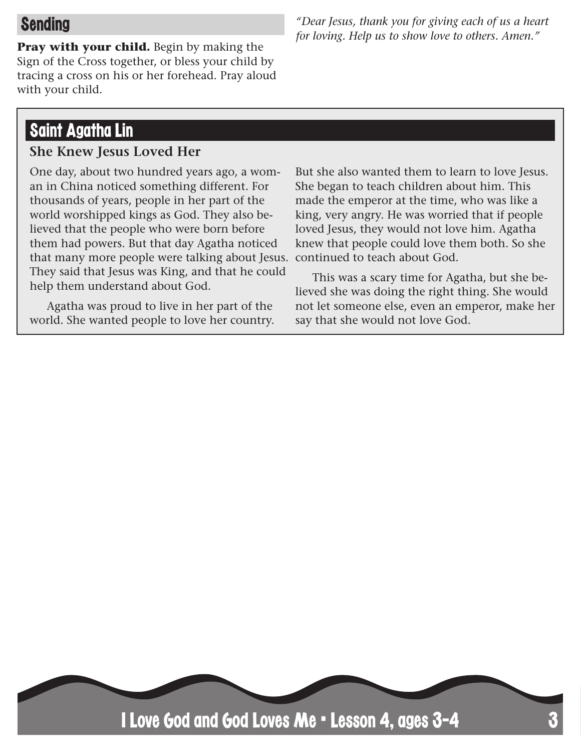#### Sending

**Pray with your child.** Begin by making the Sign of the Cross together, or bless your child by tracing a cross on his or her forehead. Pray aloud with your child.

## Saint Agatha Lin

#### **She Knew Jesus Loved Her**

One day, about two hundred years ago, a woman in China noticed something different. For thousands of years, people in her part of the world worshipped kings as God. They also believed that the people who were born before them had powers. But that day Agatha noticed that many more people were talking about Jesus. continued to teach about God. They said that Jesus was King, and that he could help them understand about God.

Agatha was proud to live in her part of the world. She wanted people to love her country.

But she also wanted them to learn to love Jesus. She began to teach children about him. This made the emperor at the time, who was like a king, very angry. He was worried that if people loved Jesus, they would not love him. Agatha knew that people could love them both. So she

This was a scary time for Agatha, but she believed she was doing the right thing. She would not let someone else, even an emperor, make her say that she would not love God.



*"Dear Jesus, thank you for giving each of us a heart for loving. Help us to show love to others. Amen."*